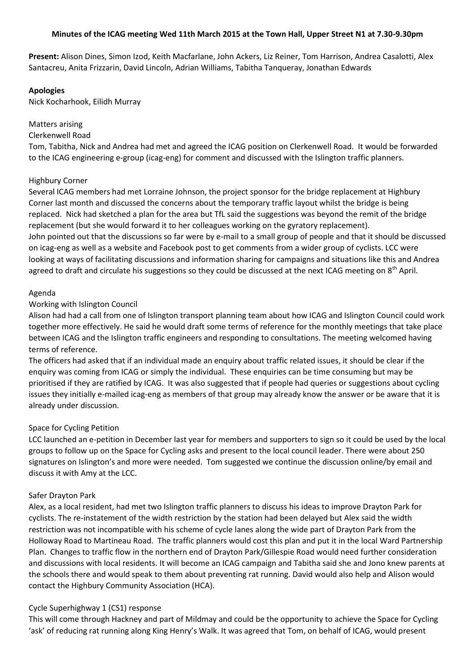### **Minutes of the ICAG meeting Wed 11th March 2015 at the Town Hall, Upper Street N1 at 7.30-9.30pm**

**Present:** Alison Dines, Simon Izod, Keith Macfarlane, John Ackers, Liz Reiner, Tom Harrison, Andrea Casalotti, Alex Santacreu, Anita Frizzarin, David Lincoln, Adrian Williams, Tabitha Tanqueray, Jonathan Edwards

#### **Apologies**

Nick Kocharhook, Eilidh Murray

### Matters arising

#### Clerkenwell Road

Tom, Tabitha, Nick and Andrea had met and agreed the ICAG position on Clerkenwell Road. It would be forwarded to the ICAG engineering e-group (icag-eng) for comment and discussed with the Islington traffic planners.

### Highbury Corner

Several ICAG members had met Lorraine Johnson, the project sponsor for the bridge replacement at Highbury Corner last month and discussed the concerns about the temporary traffic layout whilst the bridge is being replaced. Nick had sketched a plan for the area but TfL said the suggestions was beyond the remit of the bridge replacement (but she would forward it to her colleagues working on the gyratory replacement). John pointed out that the discussions so far were by e-mail to a small group of people and that it should be discussed on icag-eng as well as a website and Facebook post to get comments from a wider group of cyclists. LCC were looking at ways of facilitating discussions and information sharing for campaigns and situations like this and Andrea agreed to draft and circulate his suggestions so they could be discussed at the next ICAG meeting on 8<sup>th</sup> April.

### Agenda

### Working with Islington Council

Alison had had a call from one of Islington transport planning team about how ICAG and Islington Council could work together more effectively. He said he would draft some terms of reference for the monthly meetings that take place between ICAG and the Islington traffic engineers and responding to consultations. The meeting welcomed having terms of reference.

The officers had asked that if an individual made an enquiry about traffic related issues, it should be clear if the enquiry was coming from ICAG or simply the individual. These enquiries can be time consuming but may be prioritised if they are ratified by ICAG. It was also suggested that if people had queries or suggestions about cycling issues they initially e-mailed icag-eng as members of that group may already know the answer or be aware that it is already under discussion.

## Space for Cycling Petition

LCC launched an e-petition in December last year for members and supporters to sign so it could be used by the local groups to follow up on the Space for Cycling asks and present to the local council leader. There were about 250 signatures on Islington's and more were needed. Tom suggested we continue the discussion online/by email and discuss it with Amy at the LCC.

#### Safer Drayton Park

Alex, as a local resident, had met two Islington traffic planners to discuss his ideas to improve Drayton Park for cyclists. The re-instatement of the width restriction by the station had been delayed but Alex said the width restriction was not incompatible with his scheme of cycle lanes along the wide part of Drayton Park from the Holloway Road to Martineau Road. The traffic planners would cost this plan and put it in the local Ward Partnership Plan. Changes to traffic flow in the northern end of Drayton Park/Gillespie Road would need further consideration and discussions with local residents. It will become an ICAG campaign and Tabitha said she and Jono knew parents at the schools there and would speak to them about preventing rat running. David would also help and Alison would contact the Highbury Community Association (HCA).

#### Cycle Superhighway 1 (CS1) response

This will come through Hackney and part of Mildmay and could be the opportunity to achieve the Space for Cycling 'ask' of reducing rat running along King Henry's Walk. It was agreed that Tom, on behalf of ICAG, would present